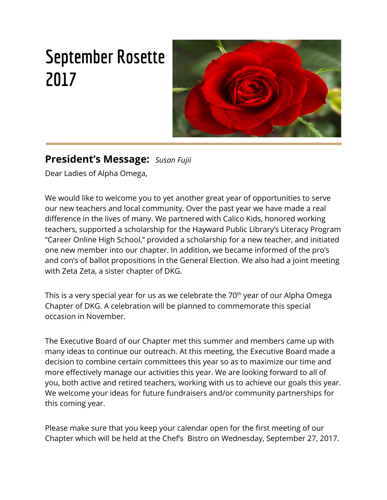# **September Rosette 2017**



## **President's Message:** *Susan Fujii*

Dear Ladies of Alpha Omega,

We would like to welcome you to yet another great year of opportunities to serve our new teachers and local community. Over the past year we have made a real difference in the lives of many. We partnered with Calico Kids, honored working teachers, supported a scholarship for the Hayward Public Library's Literacy Program "Career Online High School," provided a scholarship for a new teacher, and initiated one new member into our chapter. In addition, we became informed of the pro's and con's of ballot propositions in the General Election. We also had a joint meeting with Zeta Zeta, a sister chapter of DKG.

This is a very special year for us as we celebrate the 70<sup>th</sup> year of our Alpha Omega Chapter of DKG. A celebration will be planned to commemorate this special occasion in November.

The Executive Board of our Chapter met this summer and members came up with many ideas to continue our outreach. At this meeting, the Executive Board made a decision to combine certain committees this year so as to maximize our time and more effectively manage our activities this year. We are looking forward to all of you, both active and retired teachers, working with us to achieve our goals this year. We welcome your ideas for future fundraisers and/or community partnerships for this coming year.

Please make sure that you keep your calendar open for the first meeting of our Chapter which will be held at the Chef's Bistro on Wednesday, September 27, 2017.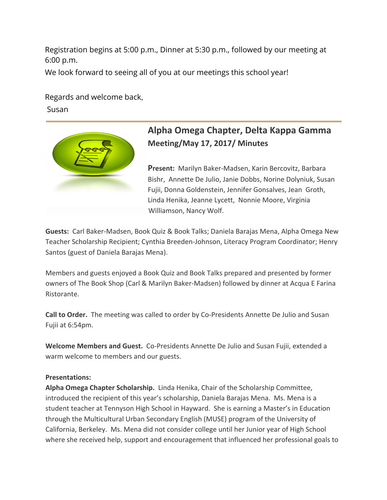Registration begins at 5:00 p.m., Dinner at 5:30 p.m., followed by our meeting at 6:00 p.m.

We look forward to seeing all of you at our meetings this school year!

Regards and welcome back,

Susan



## **Alpha Omega Chapter, Delta Kappa Gamma Meeting/May 17, 2017/ Minutes**

**Present:** Marilyn Baker-Madsen, Karin Bercovitz, Barbara Bishr, Annette De Julio, Janie Dobbs, Norine Dolyniuk, Susan Fujii, Donna Goldenstein, Jennifer Gonsalves, Jean Groth, Linda Henika, Jeanne Lycett, Nonnie Moore, Virginia Williamson, Nancy Wolf.

**Guests:** Carl Baker-Madsen, Book Quiz & Book Talks; Daniela Barajas Mena, Alpha Omega New Teacher Scholarship Recipient; Cynthia Breeden-Johnson, Literacy Program Coordinator; Henry Santos (guest of Daniela Barajas Mena).

Members and guests enjoyed a Book Quiz and Book Talks prepared and presented by former owners of The Book Shop (Carl & Marilyn Baker-Madsen) followed by dinner at Acqua E Farina Ristorante.

**Call to Order.** The meeting was called to order by Co-Presidents Annette De Julio and Susan Fujii at 6:54pm.

**Welcome Members and Guest.** Co-Presidents Annette De Julio and Susan Fujii, extended a warm welcome to members and our guests.

#### **Presentations:**

**Alpha Omega Chapter Scholarship.** Linda Henika, Chair of the Scholarship Committee, introduced the recipient of this year's scholarship, Daniela Barajas Mena. Ms. Mena is a student teacher at Tennyson High School in Hayward. She is earning a Master's in Education through the Multicultural Urban Secondary English (MUSE) program of the University of California, Berkeley. Ms. Mena did not consider college until her Junior year of High School where she received help, support and encouragement that influenced her professional goals to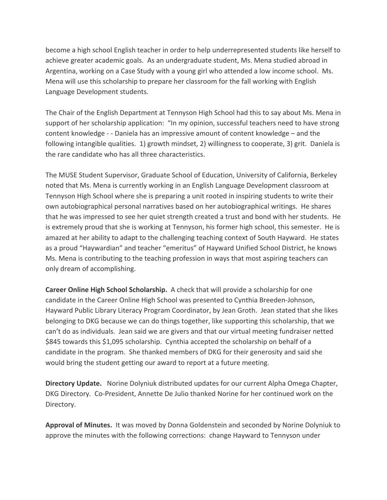become a high school English teacher in order to help underrepresented students like herself to achieve greater academic goals. As an undergraduate student, Ms. Mena studied abroad in Argentina, working on a Case Study with a young girl who attended a low income school. Ms. Mena will use this scholarship to prepare her classroom for the fall working with English Language Development students.

The Chair of the English Department at Tennyson High School had this to say about Ms. Mena in support of her scholarship application: "In my opinion, successful teachers need to have strong content knowledge - - Daniela has an impressive amount of content knowledge – and the following intangible qualities. 1) growth mindset, 2) willingness to cooperate, 3) grit. Daniela is the rare candidate who has all three characteristics.

The MUSE Student Supervisor, Graduate School of Education, University of California, Berkeley noted that Ms. Mena is currently working in an English Language Development classroom at Tennyson High School where she is preparing a unit rooted in inspiring students to write their own autobiographical personal narratives based on her autobiographical writings. He shares that he was impressed to see her quiet strength created a trust and bond with her students. He is extremely proud that she is working at Tennyson, his former high school, this semester. He is amazed at her ability to adapt to the challenging teaching context of South Hayward. He states as a proud "Haywardian" and teacher "emeritus" of Hayward Unified School District, he knows Ms. Mena is contributing to the teaching profession in ways that most aspiring teachers can only dream of accomplishing.

**Career Online High School Scholarship.**  A check that will provide a scholarship for one candidate in the Career Online High School was presented to Cynthia Breeden-Johnson, Hayward Public Library Literacy Program Coordinator, by Jean Groth. Jean stated that she likes belonging to DKG because we can do things together, like supporting this scholarship, that we can't do as individuals. Jean said we are givers and that our virtual meeting fundraiser netted \$845 towards this \$1,095 scholarship. Cynthia accepted the scholarship on behalf of a candidate in the program. She thanked members of DKG for their generosity and said she would bring the student getting our award to report at a future meeting.

**Directory Update.** Norine Dolyniuk distributed updates for our current Alpha Omega Chapter, DKG Directory. Co-President, Annette De Julio thanked Norine for her continued work on the Directory.

**Approval of Minutes.** It was moved by Donna Goldenstein and seconded by Norine Dolyniuk to approve the minutes with the following corrections: change Hayward to Tennyson under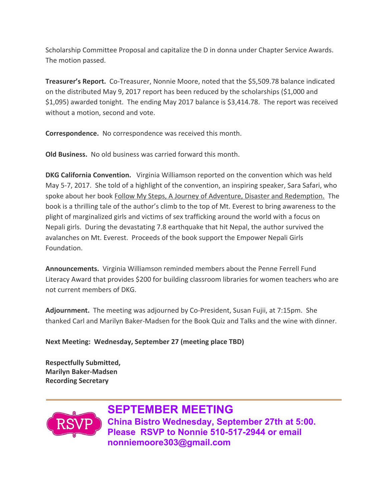Scholarship Committee Proposal and capitalize the D in donna under Chapter Service Awards. The motion passed.

**Treasurer's Report.** Co-Treasurer, Nonnie Moore, noted that the \$5,509.78 balance indicated on the distributed May 9, 2017 report has been reduced by the scholarships (\$1,000 and \$1,095) awarded tonight. The ending May 2017 balance is \$3,414.78. The report was received without a motion, second and vote.

**Correspondence.** No correspondence was received this month.

**Old Business.** No old business was carried forward this month.

**DKG California Convention.**  Virginia Williamson reported on the convention which was held May 5-7, 2017. She told of a highlight of the convention, an inspiring speaker, Sara Safari, who spoke about her book Follow My Steps, A Journey of Adventure, Disaster and Redemption. The book is a thrilling tale of the author's climb to the top of Mt. Everest to bring awareness to the plight of marginalized girls and victims of sex trafficking around the world with a focus on Nepali girls. During the devastating 7.8 earthquake that hit Nepal, the author survived the avalanches on Mt. Everest. Proceeds of the book support the Empower Nepali Girls Foundation.

**Announcements.** Virginia Williamson reminded members about the Penne Ferrell Fund Literacy Award that provides \$200 for building classroom libraries for women teachers who are not current members of DKG.

**Adjournment.** The meeting was adjourned by Co-President, Susan Fujii, at 7:15pm. She thanked Carl and Marilyn Baker-Madsen for the Book Quiz and Talks and the wine with dinner.

**Next Meeting: Wednesday, September 27 (meeting place TBD)**

**Respectfully Submitted, Marilyn Baker-Madsen Recording Secretary**



**SEPTEMBER MEETING China Bistro Wednesday, September 27th at 5:00. Please RSVP to Nonnie 510-517-2944 or email nonniemoore303@gmail.com**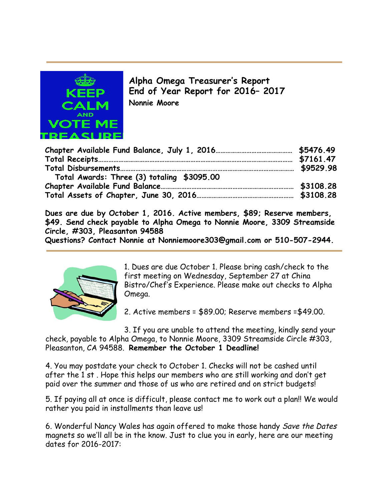

**Alpha Omega Treasurer's Report End of Year Report for 2016– 2017 Nonnie Moore**

| Total Awards: Three (3) totaling \$3095.00 |  |
|--------------------------------------------|--|
|                                            |  |
|                                            |  |

**Dues are due by October 1, 2016. Active members, \$89; Reserve members, \$49. Send check payable to Alpha Omega to Nonnie Moore, 3309 Streamside Circle, #303, Pleasanton 94588**

**Questions? Contact Nonnie at Nonniemoore303@gmail.com or 510-507-2944.**



1. Dues are due October 1. Please bring cash/check to the first meeting on Wednesday, September 27 at China Bistro/Chef's Experience. Please make out checks to Alpha Omega.

2. Active members = \$89.00; Reserve members =\$49.00.

3. If you are unable to attend the meeting, kindly send your check, payable to Alpha Omega, to Nonnie Moore, 3309 Streamside Circle #303, Pleasanton, CA 94588. **Remember the October 1 Deadline!**

4. You may postdate your check to October 1. Checks will not be cashed until after the 1 st . Hope this helps our members who are still working and don't get paid over the summer and those of us who are retired and on strict budgets!

5. If paying all at once is difficult, please contact me to work out a plan!! We would rather you paid in installments than leave us!

6. Wonderful Nancy Wales has again offered to make those handy Save the Dates magnets so we'll all be in the know. Just to clue you in early, here are our meeting dates for 2016-2017: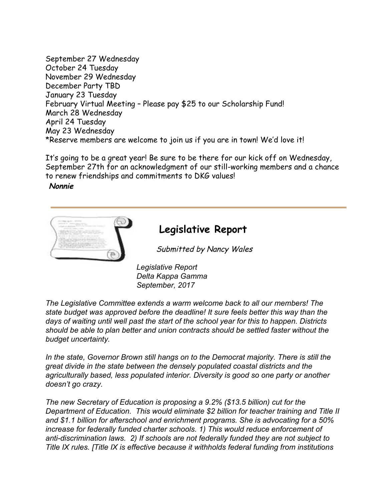September 27 Wednesday October 24 Tuesday November 29 Wednesday December Party TBD January 23 Tuesday February Virtual Meeting – Please pay \$25 to our Scholarship Fund! March 28 Wednesday April 24 Tuesday May 23 Wednesday \*Reserve members are welcome to join us if you are in town! We'd love it!

It's going to be a great year! Be sure to be there for our kick off on Wednesday, September 27th for an acknowledgment of our still-working members and a chance to renew friendships and commitments to DKG values!

**Nonnie**



## **Legislative Report**

Submitted by Nancy Wales

*Legislative Report Delta Kappa Gamma September, 2017*

*The Legislative Committee extends a warm welcome back to all our members! The state budget was approved before the deadline! It sure feels better this way than the days of waiting until well past the start of the school year for this to happen. Districts should be able to plan better and union contracts should be settled faster without the budget uncertainty.*

*In the state, Governor Brown still hangs on to the Democrat majority. There is still the great divide in the state between the densely populated coastal districts and the agriculturally based, less populated interior. Diversity is good so one party or another doesn't go crazy.*

*The new Secretary of Education is proposing a 9.2% (\$13.5 billion) cut for the Department of Education. This would eliminate \$2 billion for teacher training and Title II and \$1.1 billion for afterschool and enrichment programs. She is advocating for a 50% increase for federally funded charter schools. 1) This would reduce enforcement of anti-discrimination laws. 2) If schools are not federally funded they are not subject to Title IX rules. [Title IX is effective because it withholds federal funding from institutions*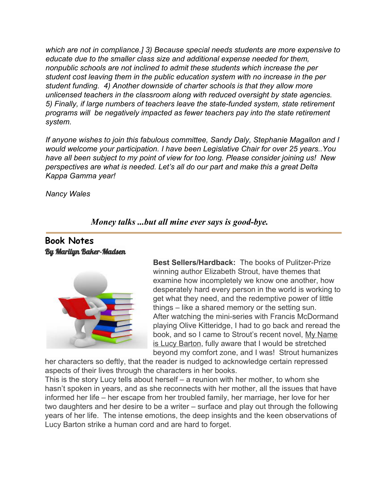*which are not in compliance.] 3) Because special needs students are more expensive to educate due to the smaller class size and additional expense needed for them, nonpublic schools are not inclined to admit these students which increase the per student cost leaving them in the public education system with no increase in the per student funding. 4) Another downside of charter schools is that they allow more unlicensed teachers in the classroom along with reduced oversight by state agencies. 5) Finally, if large numbers of teachers leave the state-funded system, state retirement programs will be negatively impacted as fewer teachers pay into the state retirement system.*

*If anyone wishes to join this fabulous committee, Sandy Daly, Stephanie Magallon and I would welcome your participation. I have been Legislative Chair for over 25 years..You have all been subject to my point of view for too long. Please consider joining us! New perspectives are what is needed. Let's all do our part and make this a great Delta Kappa Gamma year!*

*Nancy Wales*

#### *Money talks ...but all mine ever says is good-bye.*

#### **Book Notes** By Marilyn Baker-Madsen



**Best Sellers/Hardback:** The books of Pulitzer-Prize winning author Elizabeth Strout, have themes that examine how incompletely we know one another, how desperately hard every person in the world is working to get what they need, and the redemptive power of little things – like a shared memory or the setting sun. After watching the mini-series with Francis McDormand playing Olive Kitteridge, I had to go back and reread the book, and so I came to Strout's recent novel, My Name is Lucy Barton, fully aware that I would be stretched beyond my comfort zone, and I was! Strout humanizes

her characters so deftly, that the reader is nudged to acknowledge certain repressed aspects of their lives through the characters in her books.

This is the story Lucy tells about herself – a reunion with her mother, to whom she hasn't spoken in years, and as she reconnects with her mother, all the issues that have informed her life – her escape from her troubled family, her marriage, her love for her two daughters and her desire to be a writer – surface and play out through the following years of her life. The intense emotions, the deep insights and the keen observations of Lucy Barton strike a human cord and are hard to forget.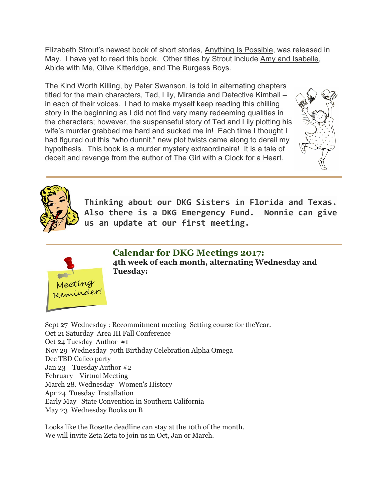Elizabeth Strout's newest book of short stories, Anything Is Possible, was released in May. I have yet to read this book. Other titles by Strout include Amy and Isabelle, Abide with Me, Olive Kitteridge, and The Burgess Boys.

The Kind Worth Killing, by Peter Swanson, is told in alternating chapters titled for the main characters, Ted, Lily, Miranda and Detective Kimball – in each of their voices. I had to make myself keep reading this chilling story in the beginning as I did not find very many redeeming qualities in the characters; however, the suspenseful story of Ted and Lily plotting his wife's murder grabbed me hard and sucked me in! Each time I thought I had figured out this "who dunnit," new plot twists came along to derail my hypothesis. This book is a murder mystery extraordinaire! It is a tale of deceit and revenge from the author of The Girl with a Clock for a Heart.





**Thinking about our DKG Sisters in Florida and Texas. Also there is a DKG Emergency Fund. Nonnie can give us an update at our first meeting.**



**Calendar for DKG Meetings 2017: 4th week of each month, alternating Wednesday and Tuesday:**

Sept 27 Wednesday : Recommitment meeting Setting course for theYear. Oct 21 Saturday Area III Fall Conference Oct 24 Tuesday Author #1 Nov 29 Wednesday 70th Birthday Celebration Alpha Omega Dec TBD Calico party Jan 23 Tuesday Author #2 February Virtual Meeting March 28. Wednesday Women's History Apr 24 Tuesday Installation Early May State Convention in Southern California May 23 Wednesday Books on B

Looks like the Rosette deadline can stay at the 10th of the month. We will invite Zeta Zeta to join us in Oct, Jan or March.